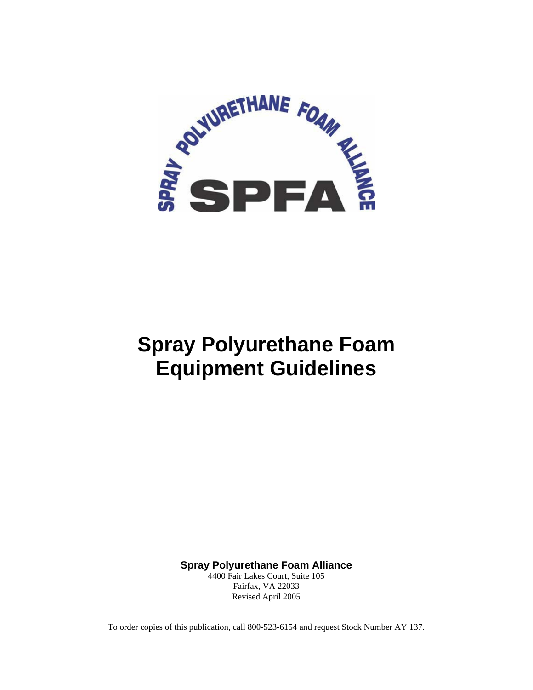

# **Spray Polyurethane Foam Equipment Guidelines**

**Spray Polyurethane Foam Alliance** 

4400 Fair Lakes Court, Suite 105 Fairfax, VA 22033 Revised April 2005

To order copies of this publication, call 800-523-6154 and request Stock Number AY 137.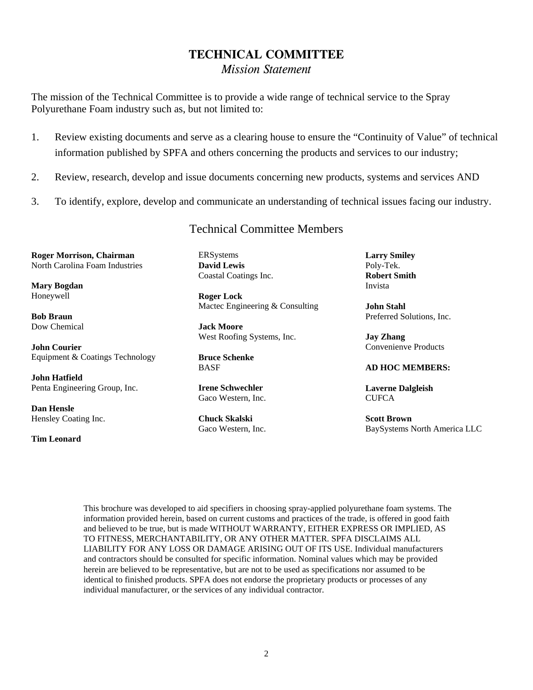## **TECHNICAL COMMITTEE**

*Mission Statement* 

The mission of the Technical Committee is to provide a wide range of technical service to the Spray Polyurethane Foam industry such as, but not limited to:

- 1. Review existing documents and serve as a clearing house to ensure the "Continuity of Value" of technical information published by SPFA and others concerning the products and services to our industry;
- 2. Review, research, develop and issue documents concerning new products, systems and services AND
- 3. To identify, explore, develop and communicate an understanding of technical issues facing our industry.

### Technical Committee Members

**Roger Morrison, Chairman**  North Carolina Foam Industries

**Mary Bogdan**  Honeywell

**Bob Braun**  Dow Chemical

**John Courier**  Equipment & Coatings Technology

**John Hatfield**  Penta Engineering Group, Inc.

**Dan Hensle**  Hensley Coating Inc.

#### **Tim Leonard**

ERSystems **David Lewis**  Coastal Coatings Inc.

**Roger Lock**  Mactec Engineering & Consulting

**Jack Moore**  West Roofing Systems, Inc.

**Bruce Schenke**  BASF

**Irene Schwechler**  Gaco Western, Inc.

**Chuck Skalski**  Gaco Western, Inc. **Larry Smiley**  Poly-Tek. **Robert Smith**  Invista

**John Stahl**  Preferred Solutions, Inc.

**Jay Zhang**  Convenienve Products

#### **AD HOC MEMBERS:**

**Laverne Dalgleish CUFCA** 

**Scott Brown**  BaySystems North America LLC

This brochure was developed to aid specifiers in choosing spray-applied polyurethane foam systems. The information provided herein, based on current customs and practices of the trade, is offered in good faith and believed to be true, but is made WITHOUT WARRANTY, EITHER EXPRESS OR IMPLIED, AS TO FITNESS, MERCHANTABILITY, OR ANY OTHER MATTER. SPFA DISCLAIMS ALL LIABILITY FOR ANY LOSS OR DAMAGE ARISING OUT OF ITS USE. Individual manufacturers and contractors should be consulted for specific information. Nominal values which may be provided herein are believed to be representative, but are not to be used as specifications nor assumed to be identical to finished products. SPFA does not endorse the proprietary products or processes of any individual manufacturer, or the services of any individual contractor.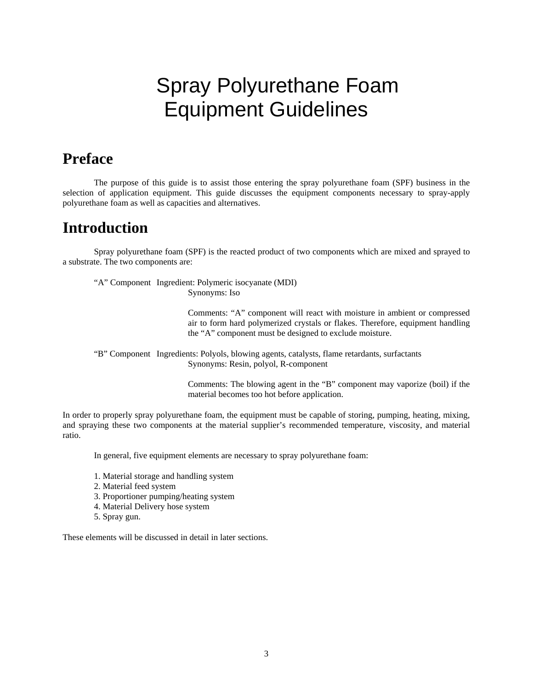# Spray Polyurethane Foam Equipment Guidelines

## **Preface**

 The purpose of this guide is to assist those entering the spray polyurethane foam (SPF) business in the selection of application equipment. This guide discusses the equipment components necessary to spray-apply polyurethane foam as well as capacities and alternatives.

## **Introduction**

 Spray polyurethane foam (SPF) is the reacted product of two components which are mixed and sprayed to a substrate. The two components are:

 "A" Component Ingredient: Polymeric isocyanate (MDI) Synonyms: Iso

> Comments: "A" component will react with moisture in ambient or compressed air to form hard polymerized crystals or flakes. Therefore, equipment handling the "A" component must be designed to exclude moisture.

 "B" Component Ingredients: Polyols, blowing agents, catalysts, flame retardants, surfactants Synonyms: Resin, polyol, R-component

> Comments: The blowing agent in the "B" component may vaporize (boil) if the material becomes too hot before application.

In order to properly spray polyurethane foam, the equipment must be capable of storing, pumping, heating, mixing, and spraying these two components at the material supplier's recommended temperature, viscosity, and material ratio.

In general, five equipment elements are necessary to spray polyurethane foam:

- 1. Material storage and handling system
- 2. Material feed system
- 3. Proportioner pumping/heating system
- 4. Material Delivery hose system
- 5. Spray gun.

These elements will be discussed in detail in later sections.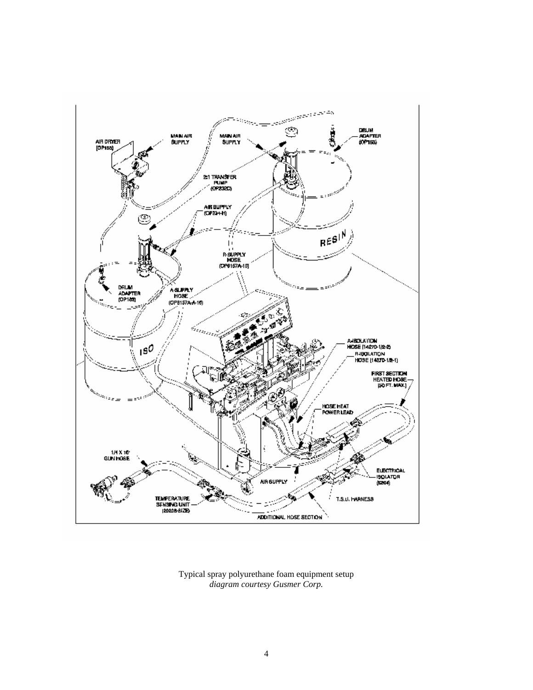

Typical spray polyurethane foam equipment setup *diagram courtesy Gusmer Corp.*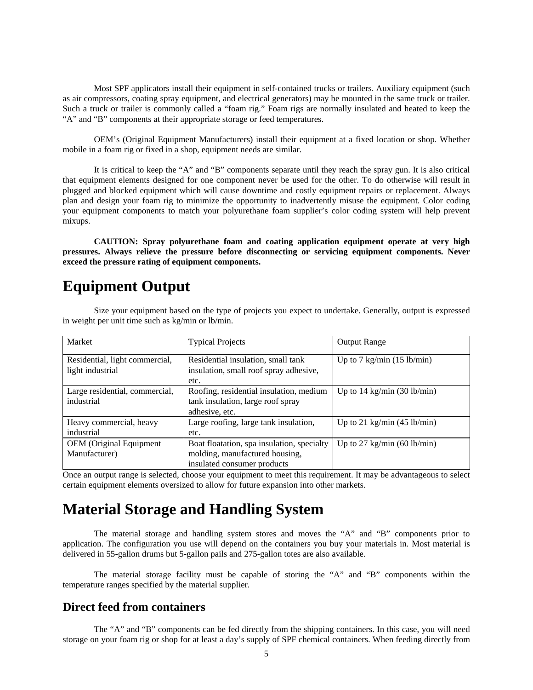Most SPF applicators install their equipment in self-contained trucks or trailers. Auxiliary equipment (such as air compressors, coating spray equipment, and electrical generators) may be mounted in the same truck or trailer. Such a truck or trailer is commonly called a "foam rig." Foam rigs are normally insulated and heated to keep the "A" and "B" components at their appropriate storage or feed temperatures.

 OEM's (Original Equipment Manufacturers) install their equipment at a fixed location or shop. Whether mobile in a foam rig or fixed in a shop, equipment needs are similar.

 It is critical to keep the "A" and "B" components separate until they reach the spray gun. It is also critical that equipment elements designed for one component never be used for the other. To do otherwise will result in plugged and blocked equipment which will cause downtime and costly equipment repairs or replacement. Always plan and design your foam rig to minimize the opportunity to inadvertently misuse the equipment. Color coding your equipment components to match your polyurethane foam supplier's color coding system will help prevent mixups.

**CAUTION: Spray polyurethane foam and coating application equipment operate at very high pressures. Always relieve the pressure before disconnecting or servicing equipment components. Never exceed the pressure rating of equipment components.**

## **Equipment Output**

 Size your equipment based on the type of projects you expect to undertake. Generally, output is expressed in weight per unit time such as kg/min or lb/min.

| Market                                             | <b>Typical Projects</b>                                                                                     | <b>Output Range</b>                   |
|----------------------------------------------------|-------------------------------------------------------------------------------------------------------------|---------------------------------------|
| Residential, light commercial,<br>light industrial | Residential insulation, small tank<br>insulation, small roof spray adhesive,<br>etc.                        | Up to $7 \text{ kg/min}$ (15 lb/min)  |
| Large residential, commercial,<br>industrial       | Roofing, residential insulation, medium<br>tank insulation, large roof spray<br>adhesive, etc.              | Up to $14 \text{ kg/min}$ (30 lb/min) |
| Heavy commercial, heavy<br>industrial              | Large roofing, large tank insulation,<br>etc.                                                               | Up to 21 kg/min $(45 \text{ lb/min})$ |
| <b>OEM</b> (Original Equipment<br>Manufacturer)    | Boat floatation, spa insulation, specialty<br>molding, manufactured housing,<br>insulated consumer products | Up to 27 kg/min $(60 \text{ lb/min})$ |

Once an output range is selected, choose your equipment to meet this requirement. It may be advantageous to select certain equipment elements oversized to allow for future expansion into other markets.

## **Material Storage and Handling System**

 The material storage and handling system stores and moves the "A" and "B" components prior to application. The configuration you use will depend on the containers you buy your materials in. Most material is delivered in 55-gallon drums but 5-gallon pails and 275-gallon totes are also available.

 The material storage facility must be capable of storing the "A" and "B" components within the temperature ranges specified by the material supplier.

### **Direct feed from containers**

 The "A" and "B" components can be fed directly from the shipping containers. In this case, you will need storage on your foam rig or shop for at least a day's supply of SPF chemical containers. When feeding directly from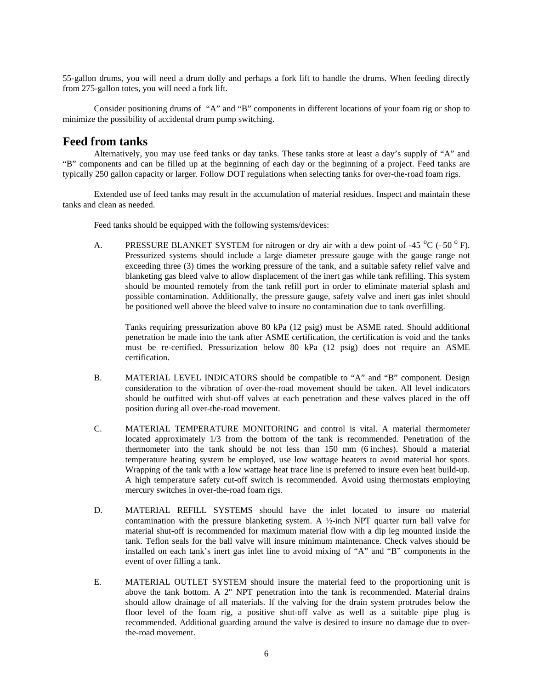55-gallon drums, you will need a drum dolly and perhaps a fork lift to handle the drums. When feeding directly from 275-gallon totes, you will need a fork lift.

 Consider positioning drums of "A" and "B" components in different locations of your foam rig or shop to minimize the possibility of accidental drum pump switching.

#### **Feed from tanks**

 Alternatively, you may use feed tanks or day tanks. These tanks store at least a day's supply of "A" and "B" components and can be filled up at the beginning of each day or the beginning of a project. Feed tanks are typically 250 gallon capacity or larger. Follow DOT regulations when selecting tanks for over-the-road foam rigs.

 Extended use of feed tanks may result in the accumulation of material residues. Inspect and maintain these tanks and clean as needed.

Feed tanks should be equipped with the following systems/devices:

A. PRESSURE BLANKET SYSTEM for nitrogen or dry air with a dew point of -45  $^{\circ}$ C (-50  $^{\circ}$  F). Pressurized systems should include a large diameter pressure gauge with the gauge range not exceeding three (3) times the working pressure of the tank, and a suitable safety relief valve and blanketing gas bleed valve to allow displacement of the inert gas while tank refilling. This system should be mounted remotely from the tank refill port in order to eliminate material splash and possible contamination. Additionally, the pressure gauge, safety valve and inert gas inlet should be positioned well above the bleed valve to insure no contamination due to tank overfilling.

Tanks requiring pressurization above 80 kPa (12 psig) must be ASME rated. Should additional penetration be made into the tank after ASME certification, the certification is void and the tanks must be re-certified. Pressurization below 80 kPa (12 psig) does not require an ASME certification.

- B. MATERIAL LEVEL INDICATORS should be compatible to "A" and "B" component. Design consideration to the vibration of over-the-road movement should be taken. All level indicators should be outfitted with shut-off valves at each penetration and these valves placed in the off position during all over-the-road movement.
- C. MATERIAL TEMPERATURE MONITORING and control is vital. A material thermometer located approximately 1/3 from the bottom of the tank is recommended. Penetration of the thermometer into the tank should be not less than 150 mm (6 inches). Should a material temperature heating system be employed, use low wattage heaters to avoid material hot spots. Wrapping of the tank with a low wattage heat trace line is preferred to insure even heat build-up. A high temperature safety cut-off switch is recommended. Avoid using thermostats employing mercury switches in over-the-road foam rigs.
- D. MATERIAL REFILL SYSTEMS should have the inlet located to insure no material contamination with the pressure blanketing system. A  $\frac{1}{2}$ -inch NPT quarter turn ball valve for material shut-off is recommended for maximum material flow with a dip leg mounted inside the tank. Teflon seals for the ball valve will insure minimum maintenance. Check valves should be installed on each tank's inert gas inlet line to avoid mixing of "A" and "B" components in the event of over filling a tank.
- E. MATERIAL OUTLET SYSTEM should insure the material feed to the proportioning unit is above the tank bottom. A 2" NPT penetration into the tank is recommended. Material drains should allow drainage of all materials. If the valving for the drain system protrudes below the floor level of the foam rig, a positive shut-off valve as well as a suitable pipe plug is recommended. Additional guarding around the valve is desired to insure no damage due to overthe-road movement.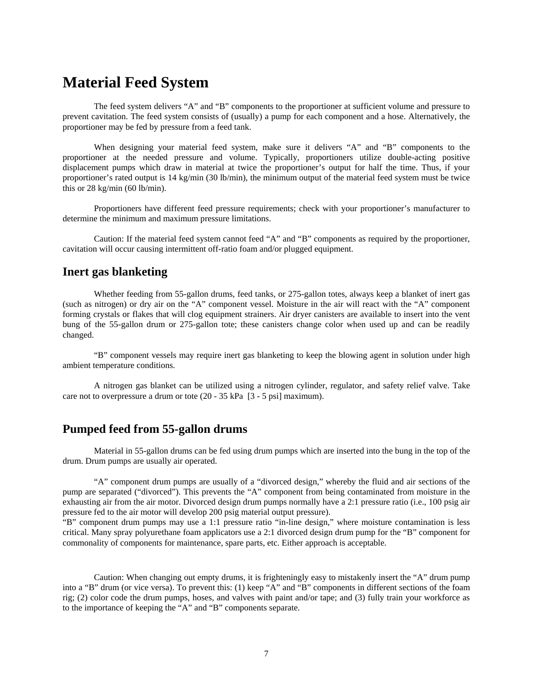## **Material Feed System**

 The feed system delivers "A" and "B" components to the proportioner at sufficient volume and pressure to prevent cavitation. The feed system consists of (usually) a pump for each component and a hose. Alternatively, the proportioner may be fed by pressure from a feed tank.

 When designing your material feed system, make sure it delivers "A" and "B" components to the proportioner at the needed pressure and volume. Typically, proportioners utilize double-acting positive displacement pumps which draw in material at twice the proportioner's output for half the time. Thus, if your proportioner's rated output is 14 kg/min (30 lb/min), the minimum output of the material feed system must be twice this or 28 kg/min (60 lb/min).

 Proportioners have different feed pressure requirements; check with your proportioner's manufacturer to determine the minimum and maximum pressure limitations.

 Caution: If the material feed system cannot feed "A" and "B" components as required by the proportioner, cavitation will occur causing intermittent off-ratio foam and/or plugged equipment.

#### **Inert gas blanketing**

 Whether feeding from 55-gallon drums, feed tanks, or 275-gallon totes, always keep a blanket of inert gas (such as nitrogen) or dry air on the "A" component vessel. Moisture in the air will react with the "A" component forming crystals or flakes that will clog equipment strainers. Air dryer canisters are available to insert into the vent bung of the 55-gallon drum or 275-gallon tote; these canisters change color when used up and can be readily changed.

 "B" component vessels may require inert gas blanketing to keep the blowing agent in solution under high ambient temperature conditions.

 A nitrogen gas blanket can be utilized using a nitrogen cylinder, regulator, and safety relief valve. Take care not to overpressure a drum or tote (20 - 35 kPa [3 - 5 psi] maximum).

#### **Pumped feed from 55-gallon drums**

 Material in 55-gallon drums can be fed using drum pumps which are inserted into the bung in the top of the drum. Drum pumps are usually air operated.

 "A" component drum pumps are usually of a "divorced design," whereby the fluid and air sections of the pump are separated ("divorced"). This prevents the "A" component from being contaminated from moisture in the exhausting air from the air motor. Divorced design drum pumps normally have a 2:1 pressure ratio (i.e., 100 psig air pressure fed to the air motor will develop 200 psig material output pressure).

"B" component drum pumps may use a 1:1 pressure ratio "in-line design," where moisture contamination is less critical. Many spray polyurethane foam applicators use a 2:1 divorced design drum pump for the "B" component for commonality of components for maintenance, spare parts, etc. Either approach is acceptable.

 Caution: When changing out empty drums, it is frighteningly easy to mistakenly insert the "A" drum pump into a "B" drum (or vice versa). To prevent this: (1) keep "A" and "B" components in different sections of the foam rig; (2) color code the drum pumps, hoses, and valves with paint and/or tape; and (3) fully train your workforce as to the importance of keeping the "A" and "B" components separate.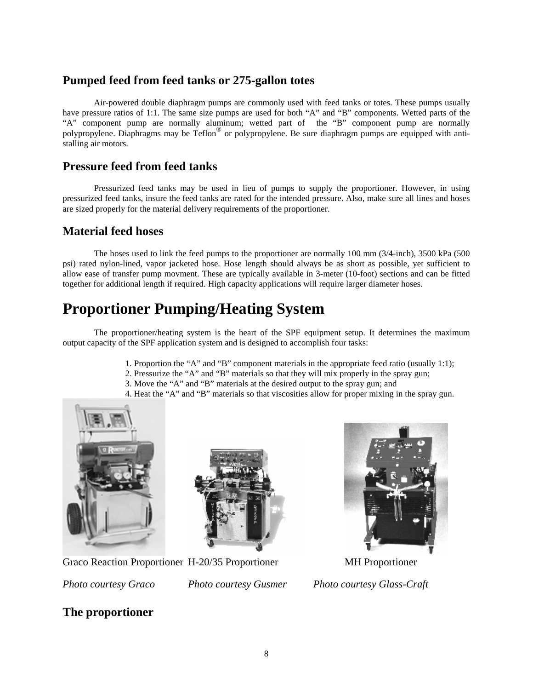## **Pumped feed from feed tanks or 275-gallon totes**

 Air-powered double diaphragm pumps are commonly used with feed tanks or totes. These pumps usually have pressure ratios of 1:1. The same size pumps are used for both "A" and "B" components. Wetted parts of the "A" component pump are normally aluminum; wetted part of the "B" component pump are normally polypropylene. Diaphragms may be Teflon® or polypropylene. Be sure diaphragm pumps are equipped with antistalling air motors.

## **Pressure feed from feed tanks**

 Pressurized feed tanks may be used in lieu of pumps to supply the proportioner. However, in using pressurized feed tanks, insure the feed tanks are rated for the intended pressure. Also, make sure all lines and hoses are sized properly for the material delivery requirements of the proportioner.

## **Material feed hoses**

 The hoses used to link the feed pumps to the proportioner are normally 100 mm (3/4-inch), 3500 kPa (500 psi) rated nylon-lined, vapor jacketed hose. Hose length should always be as short as possible, yet sufficient to allow ease of transfer pump movment. These are typically available in 3-meter (10-foot) sections and can be fitted together for additional length if required. High capacity applications will require larger diameter hoses.

# **Proportioner Pumping/Heating System**

 The proportioner/heating system is the heart of the SPF equipment setup. It determines the maximum output capacity of the SPF application system and is designed to accomplish four tasks:

- 1. Proportion the "A" and "B" component materials in the appropriate feed ratio (usually 1:1);
- 2. Pressurize the "A" and "B" materials so that they will mix properly in the spray gun;
- 3. Move the "A" and "B" materials at the desired output to the spray gun; and
- 4. Heat the "A" and "B" materials so that viscosities allow for proper mixing in the spray gun.





Graco Reaction Proportioner H-20/35 Proportioner MH Proportioner



*Photo courtesy Graco Photo courtesy Gusmer Photo courtesy Glass-Craft*

## **The proportioner**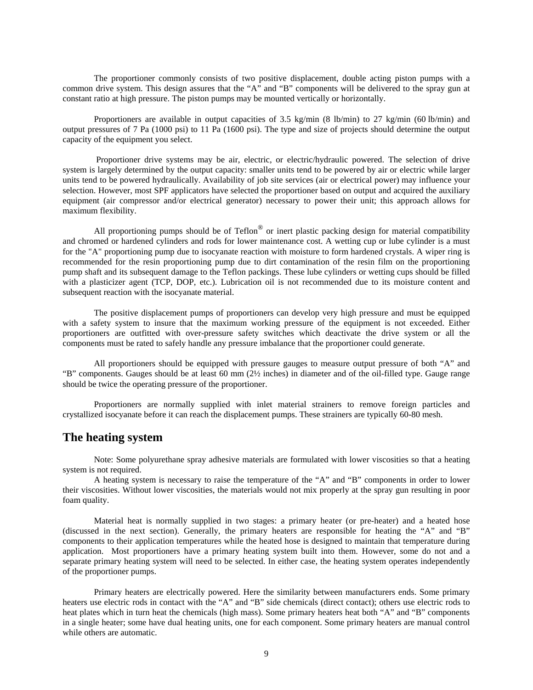The proportioner commonly consists of two positive displacement, double acting piston pumps with a common drive system. This design assures that the "A" and "B" components will be delivered to the spray gun at constant ratio at high pressure. The piston pumps may be mounted vertically or horizontally.

 Proportioners are available in output capacities of 3.5 kg/min (8 lb/min) to 27 kg/min (60 lb/min) and output pressures of 7 Pa (1000 psi) to 11 Pa (1600 psi). The type and size of projects should determine the output capacity of the equipment you select.

 Proportioner drive systems may be air, electric, or electric/hydraulic powered. The selection of drive system is largely determined by the output capacity: smaller units tend to be powered by air or electric while larger units tend to be powered hydraulically. Availability of job site services (air or electrical power) may influence your selection. However, most SPF applicators have selected the proportioner based on output and acquired the auxiliary equipment (air compressor and/or electrical generator) necessary to power their unit; this approach allows for maximum flexibility.

All proportioning pumps should be of Teflon<sup>®</sup> or inert plastic packing design for material compatibility and chromed or hardened cylinders and rods for lower maintenance cost. A wetting cup or lube cylinder is a must for the "A" proportioning pump due to isocyanate reaction with moisture to form hardened crystals. A wiper ring is recommended for the resin proportioning pump due to dirt contamination of the resin film on the proportioning pump shaft and its subsequent damage to the Teflon packings. These lube cylinders or wetting cups should be filled with a plasticizer agent (TCP, DOP, etc.). Lubrication oil is not recommended due to its moisture content and subsequent reaction with the isocyanate material.

 The positive displacement pumps of proportioners can develop very high pressure and must be equipped with a safety system to insure that the maximum working pressure of the equipment is not exceeded. Either proportioners are outfitted with over-pressure safety switches which deactivate the drive system or all the components must be rated to safely handle any pressure imbalance that the proportioner could generate.

 All proportioners should be equipped with pressure gauges to measure output pressure of both "A" and "B" components. Gauges should be at least 60 mm (2½ inches) in diameter and of the oil-filled type. Gauge range should be twice the operating pressure of the proportioner.

 Proportioners are normally supplied with inlet material strainers to remove foreign particles and crystallized isocyanate before it can reach the displacement pumps. These strainers are typically 60-80 mesh.

### **The heating system**

 Note: Some polyurethane spray adhesive materials are formulated with lower viscosities so that a heating system is not required.

 A heating system is necessary to raise the temperature of the "A" and "B" components in order to lower their viscosities. Without lower viscosities, the materials would not mix properly at the spray gun resulting in poor foam quality.

 Material heat is normally supplied in two stages: a primary heater (or pre-heater) and a heated hose (discussed in the next section). Generally, the primary heaters are responsible for heating the "A" and "B" components to their application temperatures while the heated hose is designed to maintain that temperature during application. Most proportioners have a primary heating system built into them. However, some do not and a separate primary heating system will need to be selected. In either case, the heating system operates independently of the proportioner pumps.

 Primary heaters are electrically powered. Here the similarity between manufacturers ends. Some primary heaters use electric rods in contact with the "A" and "B" side chemicals (direct contact); others use electric rods to heat plates which in turn heat the chemicals (high mass). Some primary heaters heat both "A" and "B" components in a single heater; some have dual heating units, one for each component. Some primary heaters are manual control while others are automatic.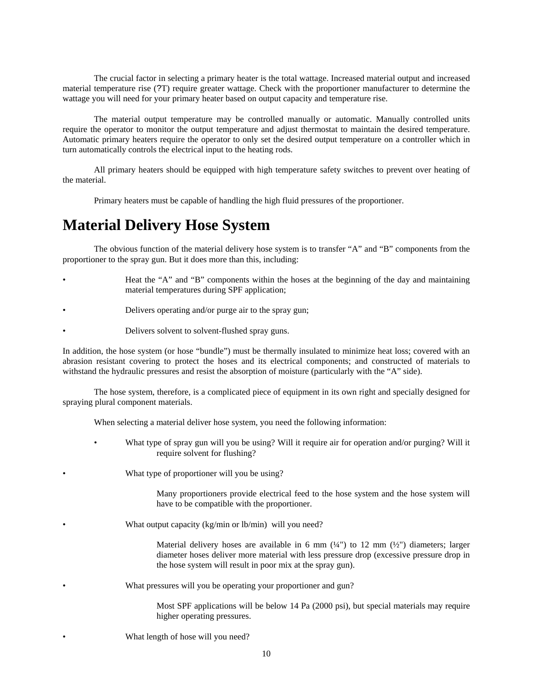The crucial factor in selecting a primary heater is the total wattage. Increased material output and increased material temperature rise (?T) require greater wattage. Check with the proportioner manufacturer to determine the wattage you will need for your primary heater based on output capacity and temperature rise.

 The material output temperature may be controlled manually or automatic. Manually controlled units require the operator to monitor the output temperature and adjust thermostat to maintain the desired temperature. Automatic primary heaters require the operator to only set the desired output temperature on a controller which in turn automatically controls the electrical input to the heating rods.

 All primary heaters should be equipped with high temperature safety switches to prevent over heating of the material.

Primary heaters must be capable of handling the high fluid pressures of the proportioner.

## **Material Delivery Hose System**

 The obvious function of the material delivery hose system is to transfer "A" and "B" components from the proportioner to the spray gun. But it does more than this, including:

- Heat the "A" and "B" components within the hoses at the beginning of the day and maintaining material temperatures during SPF application;
- Delivers operating and/or purge air to the spray gun;
- Delivers solvent to solvent-flushed spray guns.

In addition, the hose system (or hose "bundle") must be thermally insulated to minimize heat loss; covered with an abrasion resistant covering to protect the hoses and its electrical components; and constructed of materials to withstand the hydraulic pressures and resist the absorption of moisture (particularly with the "A" side).

 The hose system, therefore, is a complicated piece of equipment in its own right and specially designed for spraying plural component materials.

When selecting a material deliver hose system, you need the following information:

• What type of spray gun will you be using? Will it require air for operation and/or purging? Will it require solvent for flushing?

What type of proportioner will you be using?

Many proportioners provide electrical feed to the hose system and the hose system will have to be compatible with the proportioner.

What output capacity (kg/min or lb/min) will you need?

Material delivery hoses are available in 6 mm  $(½")$  to 12 mm  $(½")$  diameters; larger diameter hoses deliver more material with less pressure drop (excessive pressure drop in the hose system will result in poor mix at the spray gun).

What pressures will you be operating your proportioner and gun?

Most SPF applications will be below 14 Pa (2000 psi), but special materials may require higher operating pressures.

What length of hose will you need?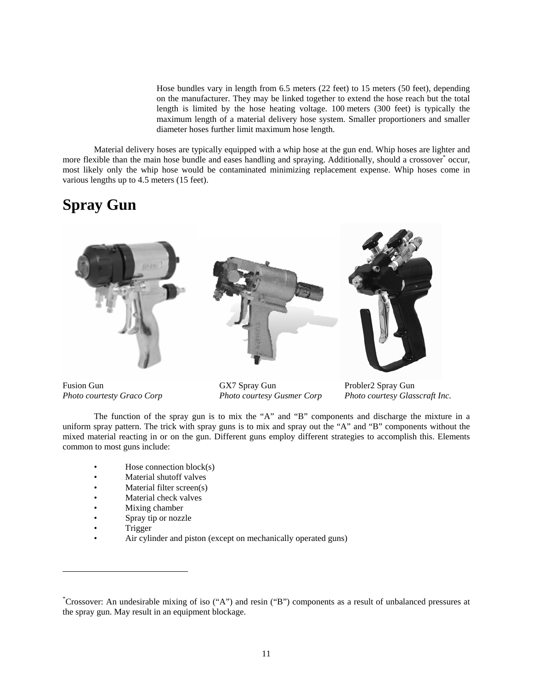Hose bundles vary in length from 6.5 meters (22 feet) to 15 meters (50 feet), depending on the manufacturer. They may be linked together to extend the hose reach but the total length is limited by the hose heating voltage. 100 meters (300 feet) is typically the maximum length of a material delivery hose system. Smaller proportioners and smaller diameter hoses further limit maximum hose length.

 Material delivery hoses are typically equipped with a whip hose at the gun end. Whip hoses are lighter and more flexible than the main hose bundle and eases handling and spraying. Additionally, should a crossover<sup>\*</sup> occur, most likely only the whip hose would be contaminated minimizing replacement expense. Whip hoses come in various lengths up to 4.5 meters (15 feet).

## **Spray Gun**



Fusion Gun GX7 Spray Gun Probler2 Spray Gun

*Photo courtesty Graco Corp Photo courtesy Gusmer Corp Photo courtesy Glasscraft Inc.* 

 The function of the spray gun is to mix the "A" and "B" components and discharge the mixture in a uniform spray pattern. The trick with spray guns is to mix and spray out the "A" and "B" components without the mixed material reacting in or on the gun. Different guns employ different strategies to accomplish this. Elements common to most guns include:

- Hose connection  $block(s)$
- Material shutoff valves
- Material filter screen(s)
- Material check valves
- Mixing chamber
- Spray tip or nozzle
- Trigger

-

• Air cylinder and piston (except on mechanically operated guns)

<sup>\*</sup> Crossover: An undesirable mixing of iso ("A") and resin ("B") components as a result of unbalanced pressures at the spray gun. May result in an equipment blockage.